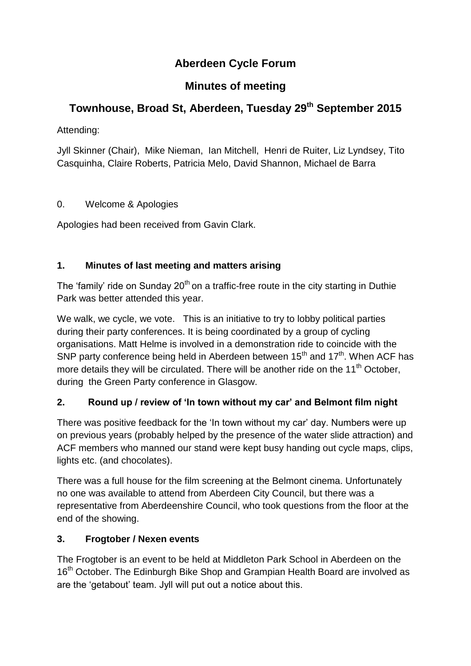## **Aberdeen Cycle Forum**

## **Minutes of meeting**

# **Townhouse, Broad St, Aberdeen, Tuesday 29th September 2015**

Attending:

Jyll Skinner (Chair), Mike Nieman, Ian Mitchell, Henri de Ruiter, Liz Lyndsey, Tito Casquinha, Claire Roberts, Patricia Melo, David Shannon, Michael de Barra

### 0. Welcome & Apologies

Apologies had been received from Gavin Clark.

### **1. Minutes of last meeting and matters arising**

The 'family' ride on Sunday  $20<sup>th</sup>$  on a traffic-free route in the city starting in Duthie Park was better attended this year.

We walk, we cycle, we vote.This is an initiative to try to lobby political parties during their party conferences. It is being coordinated by a group of cycling organisations. Matt Helme is involved in a demonstration ride to coincide with the SNP party conference being held in Aberdeen between  $15<sup>th</sup>$  and  $17<sup>th</sup>$ . When ACF has more details they will be circulated. There will be another ride on the  $11<sup>th</sup>$  October, during the Green Party conference in Glasgow.

### **2. Round up / review of 'In town without my car' and Belmont film night**

There was positive feedback for the 'In town without my car' day. Numbers were up on previous years (probably helped by the presence of the water slide attraction) and ACF members who manned our stand were kept busy handing out cycle maps, clips, lights etc. (and chocolates).

There was a full house for the film screening at the Belmont cinema. Unfortunately no one was available to attend from Aberdeen City Council, but there was a representative from Aberdeenshire Council, who took questions from the floor at the end of the showing.

### **3. Frogtober / Nexen events**

The Frogtober is an event to be held at Middleton Park School in Aberdeen on the 16<sup>th</sup> October. The Edinburgh Bike Shop and Grampian Health Board are involved as are the 'getabout' team. Jyll will put out a notice about this.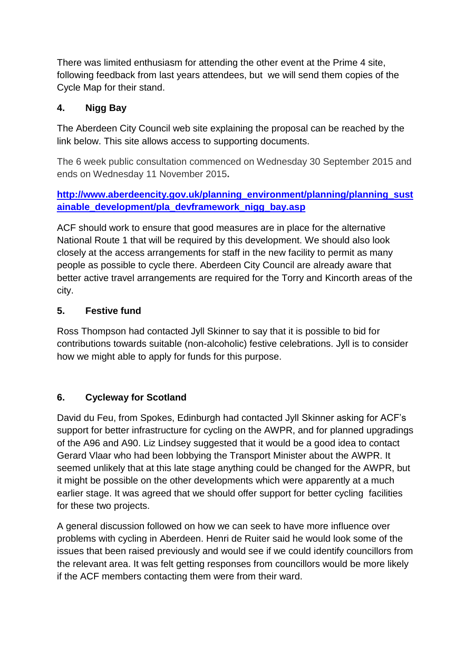There was limited enthusiasm for attending the other event at the Prime 4 site, following feedback from last years attendees, but we will send them copies of the Cycle Map for their stand.

#### **4. Nigg Bay**

The Aberdeen City Council web site explaining the proposal can be reached by the link below. This site allows access to supporting documents.

The 6 week public consultation commenced on Wednesday 30 September 2015 and ends on Wednesday 11 November 2015**.**

**[http://www.aberdeencity.gov.uk/planning\\_environment/planning/planning\\_sust](http://www.aberdeencity.gov.uk/planning_environment/planning/planning_sustainable_development/pla_devframework_nigg_bay.asp) [ainable\\_development/pla\\_devframework\\_nigg\\_bay.asp](http://www.aberdeencity.gov.uk/planning_environment/planning/planning_sustainable_development/pla_devframework_nigg_bay.asp)**

ACF should work to ensure that good measures are in place for the alternative National Route 1 that will be required by this development. We should also look closely at the access arrangements for staff in the new facility to permit as many people as possible to cycle there. Aberdeen City Council are already aware that better active travel arrangements are required for the Torry and Kincorth areas of the city.

#### **5. Festive fund**

Ross Thompson had contacted Jyll Skinner to say that it is possible to bid for contributions towards suitable (non-alcoholic) festive celebrations. Jyll is to consider how we might able to apply for funds for this purpose.

#### **6. Cycleway for Scotland**

David du Feu, from Spokes, Edinburgh had contacted Jyll Skinner asking for ACF's support for better infrastructure for cycling on the AWPR, and for planned upgradings of the A96 and A90. Liz Lindsey suggested that it would be a good idea to contact Gerard Vlaar who had been lobbying the Transport Minister about the AWPR. It seemed unlikely that at this late stage anything could be changed for the AWPR, but it might be possible on the other developments which were apparently at a much earlier stage. It was agreed that we should offer support for better cycling facilities for these two projects.

A general discussion followed on how we can seek to have more influence over problems with cycling in Aberdeen. Henri de Ruiter said he would look some of the issues that been raised previously and would see if we could identify councillors from the relevant area. It was felt getting responses from councillors would be more likely if the ACF members contacting them were from their ward.